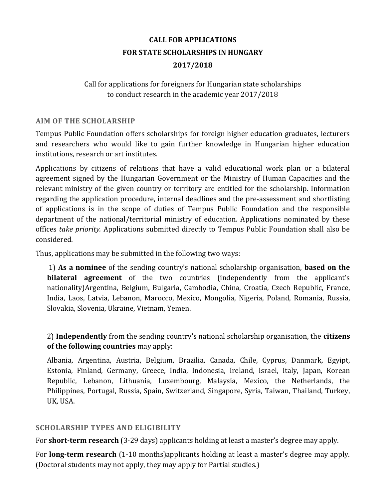# **CALL FOR APPLICATIONS FOR STATE SCHOLARSHIPS IN HUNGARY 2017/2018**

### Call for applications for foreigners for Hungarian state scholarships to conduct research in the academic year 2017/2018

#### **AIM OF THE SCHOLARSHIP**

Tempus Public Foundation offers scholarships for foreign higher education graduates, lecturers and researchers who would like to gain further knowledge in Hungarian higher education institutions, research or art institutes.

Applications by citizens of relations that have a valid educational work plan or a bilateral agreement signed by the Hungarian Government or the Ministry of Human Capacities and the relevant ministry of the given country or territory are entitled for the scholarship. Information regarding the application procedure, internal deadlines and the pre-assessment and shortlisting of applications is in the scope of duties of Tempus Public Foundation and the responsible department of the national/territorial ministry of education. Applications nominated by these offices *take priority.* Applications submitted directly to Tempus Public Foundation shall also be considered.

Thus, applications may be submitted in the following two ways:

1) **As a nominee** of the sending country's national scholarship organisation, **based on the bilateral agreement** of the two countries (independently from the applicant's nationality)Argentina, Belgium, Bulgaria, Cambodia, China, Croatia, Czech Republic, France, India, Laos, Latvia, Lebanon, Marocco, Mexico, Mongolia, Nigeria, Poland, Romania, Russia, Slovakia, Slovenia, Ukraine, Vietnam, Yemen.

2) **Independently** from the sending country's national scholarship organisation, the **citizens of the following countries** may apply:

Albania, Argentina, Austria, Belgium, Brazilia, Canada, Chile, Cyprus, Danmark, Egyipt, Estonia, Finland, Germany, Greece, India, Indonesia, Ireland, Israel, Italy, Japan, Korean Republic, Lebanon, Lithuania, Luxembourg, Malaysia, Mexico, the Netherlands, the Philippines, Portugal, Russia, Spain, Switzerland, Singapore, Syria, Taiwan, Thailand, Turkey, UK, USA.

### **SCHOLARSHIP TYPES AND ELIGIBILITY**

For **short-term research** (3-29 days) applicants holding at least a master's degree may apply.

For **long-term research** (1-10 months)applicants holding at least a master's degree may apply. (Doctoral students may not apply, they may apply for Partial studies.)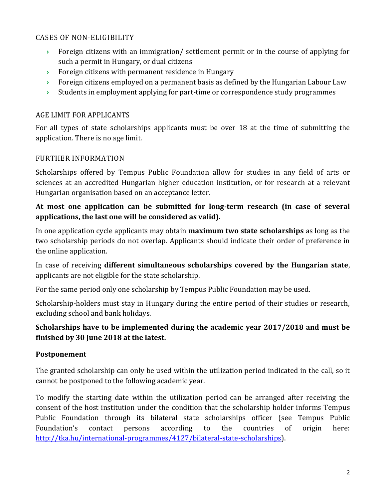### CASES OF NON-ELIGIBILITY

- **Foreign citizens with an immigration/ settlement permit or in the course of applying for** such a permit in Hungary, or dual citizens
- **Foreign citizens with permanent residence in Hungary**
- Foreign citizens employed on a permanent basis as defined by the Hungarian Labour Law
- $\rightarrow$  Students in employment applying for part-time or correspondence study programmes

### AGE LIMIT FOR APPLICANTS

For all types of state scholarships applicants must be over 18 at the time of submitting the application. There is no age limit.

# FURTHER INFORMATION

Scholarships offered by Tempus Public Foundation allow for studies in any field of arts or sciences at an accredited Hungarian higher education institution, or for research at a relevant Hungarian organisation based on an acceptance letter.

### **At most one application can be submitted for long-term research (in case of several applications, the last one will be considered as valid).**

In one application cycle applicants may obtain **maximum two state scholarships** as long as the two scholarship periods do not overlap. Applicants should indicate their order of preference in the online application.

In case of receiving **different simultaneous scholarships covered by the Hungarian state**, applicants are not eligible for the state scholarship.

For the same period only one scholarship by Tempus Public Foundation may be used.

Scholarship-holders must stay in Hungary during the entire period of their studies or research, excluding school and bank holidays.

# **Scholarships have to be implemented during the academic year 2017/2018 and must be finished by 30 June 2018 at the latest.**

### **Postponement**

The granted scholarship can only be used within the utilization period indicated in the call, so it cannot be postponed to the following academic year.

To modify the starting date within the utilization period can be arranged after receiving the consent of the host institution under the condition that the scholarship holder informs Tempus Public Foundation through its bilateral state scholarships officer (see Tempus Public Foundation's contact persons according to the countries of origin here: [http://tka.hu/international-programmes/4127/bilateral-state-scholarships\)](http://tka.hu/international-programmes/4127/bilateral-state-scholarships).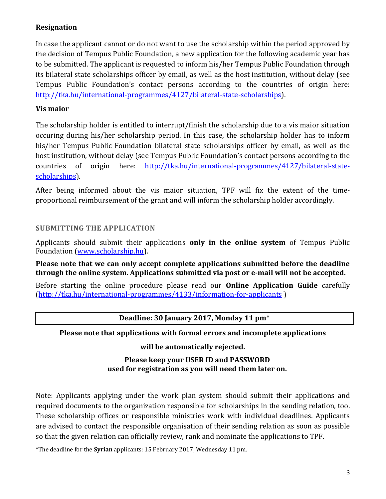# **Resignation**

In case the applicant cannot or do not want to use the scholarship within the period approved by the decision of Tempus Public Foundation, a new application for the following academic year has to be submitted. The applicant is requested to inform his/her Tempus Public Foundation through its bilateral state scholarships officer by email, as well as the host institution, without delay (see Tempus Public Foundation's contact persons according to the countries of origin here: [http://tka.hu/international-programmes/4127/bilateral-state-scholarships\)](http://tka.hu/international-programmes/4127/bilateral-state-scholarships).

### **Vis maior**

The scholarship holder is entitled to interrupt/finish the scholarship due to a vis maior situation occuring during his/her scholarship period. In this case, the scholarship holder has to inform his/her Tempus Public Foundation bilateral state scholarships officer by email, as well as the host institution, without delay (see Tempus Public Foundation's contact persons according to the countries of origin here: [http://tka.hu/international-programmes/4127/bilateral-state](http://tka.hu/international-programmes/4127/bilateral-state-scholarships)[scholarships\)](http://tka.hu/international-programmes/4127/bilateral-state-scholarships).

After being informed about the vis maior situation, TPF will fix the extent of the timeproportional reimbursement of the grant and will inform the scholarship holder accordingly.

#### **SUBMITTING THE APPLICATION**

Applicants should submit their applications **only in the online system** of Tempus Public Foundation [\(www.scholarship.hu\)](http://www.scholarship.hu/).

**Please note that we can only accept complete applications submitted before the deadline through the online system. Applications submitted via post or e-mail will not be accepted.**

Before starting the online procedure please read our **Online Application Guide** carefully [\(http://tka.hu/international-programmes/4133/information-for-applicants](http://tka.hu/international-programmes/4133/information-for-applicants) )

#### **Deadline: 30 January 2017, Monday 11 pm\***

#### **Please note that applications with formal errors and incomplete applications**

**will be automatically rejected.** 

#### **Please keep your USER ID and PASSWORD used for registration as you will need them later on.**

Note: Applicants applying under the work plan system should submit their applications and required documents to the organization responsible for scholarships in the sending relation, too. These scholarship offices or responsible ministries work with individual deadlines. Applicants are advised to contact the responsible organisation of their sending relation as soon as possible so that the given relation can officially review, rank and nominate the applications to TPF.

\*The deadline for the **Syrian** applicants: 15 February 2017, Wednesday 11 pm.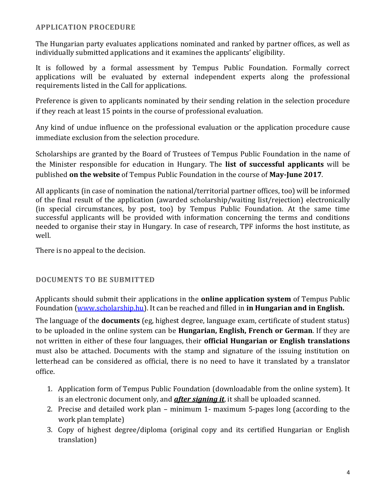#### **APPLICATION PROCEDURE**

The Hungarian party evaluates applications nominated and ranked by partner offices, as well as individually submitted applications and it examines the applicants' eligibility.

It is followed by a formal assessment by Tempus Public Foundation. Formally correct applications will be evaluated by external independent experts along the professional requirements listed in the Call for applications.

Preference is given to applicants nominated by their sending relation in the selection procedure if they reach at least 15 points in the course of professional evaluation.

Any kind of undue influence on the professional evaluation or the application procedure cause immediate exclusion from the selection procedure.

Scholarships are granted by the Board of Trustees of Tempus Public Foundation in the name of the Minister responsible for education in Hungary. The **list of successful applicants** will be published **on the website** of Tempus Public Foundation in the course of **May-June 2017**.

All applicants (in case of nomination the national/territorial partner offices, too) will be informed of the final result of the application (awarded scholarship/waiting list/rejection) electronically (in special circumstances, by post, too) by Tempus Public Foundation. At the same time successful applicants will be provided with information concerning the terms and conditions needed to organise their stay in Hungary. In case of research, TPF informs the host institute, as well.

There is no appeal to the decision.

### **DOCUMENTS TO BE SUBMITTED**

Applicants should submit their applications in the **online application system** of Tempus Public Foundation [\(www.scholarship.hu\)](http://www.scholarship.hu/). It can be reached and filled in **in Hungarian and in English.**

The language of the **documents** (eg, highest degree, language exam, certificate of student status) to be uploaded in the online system can be **Hungarian, English, French or German**. If they are not written in either of these four languages, their **official Hungarian or English translations** must also be attached. Documents with the stamp and signature of the issuing institution on letterhead can be considered as official, there is no need to have it translated by a translator office.

- 1. Application form of Tempus Public Foundation (downloadable from the online system). It is an electronic document only, and *after signing it*, it shall be uploaded scanned.
- 2. Precise and detailed work plan minimum 1- maximum 5-pages long (according to the work plan template)
- 3. Copy of highest degree/diploma (original copy and its certified Hungarian or English translation)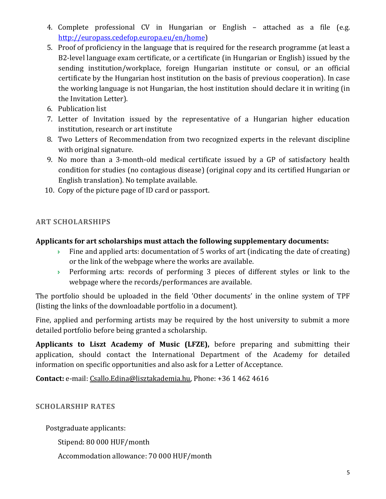- 4. Complete professional CV in Hungarian or English attached as a file (e.g. [http://europass.cedefop.europa.eu/en/home\)](http://europass.cedefop.europa.eu/en/home)
- 5. Proof of proficiency in the language that is required for the research programme (at least a B2-level language exam certificate, or a certificate (in Hungarian or English) issued by the sending institution/workplace, foreign Hungarian institute or consul, or an official certificate by the Hungarian host institution on the basis of previous cooperation). In case the working language is not Hungarian, the host institution should declare it in writing (in the Invitation Letter).
- 6. Publication list
- 7. Letter of Invitation issued by the representative of a Hungarian higher education institution, research or art institute
- 8. Two Letters of Recommendation from two recognized experts in the relevant discipline with original signature.
- 9. No more than a 3-month-old medical certificate issued by a GP of satisfactory health condition for studies (no contagious disease) (original copy and its certified Hungarian or English translation). No template available.
- 10. Copy of the picture page of ID card or passport.

### **ART SCHOLARSHIPS**

### **Applicants for art scholarships must attach the following supplementary documents:**

- $\rightarrow$  Fine and applied arts: documentation of 5 works of art (indicating the date of creating) or the link of the webpage where the works are available.
- Performing arts: records of performing 3 pieces of different styles or link to the webpage where the records/performances are available.

The portfolio should be uploaded in the field 'Other documents' in the online system of TPF (listing the links of the downloadable portfolio in a document).

Fine, applied and performing artists may be required by the host university to submit a more detailed portfolio before being granted a scholarship.

**Applicants to Liszt Academy of Music (LFZE),** before preparing and submitting their application, should contact the International Department of the Academy for detailed information on specific opportunities and also ask for a Letter of Acceptance.

**Contact:** e-mail: [Csallo.Edina@lisztakademia.hu,](mailto:Csallo.Edina@lisztakademia.hu) Phone: +36 1 462 4616

### **SCHOLARSHIP RATES**

Postgraduate applicants:

Stipend: 80 000 HUF/month

Accommodation allowance: 70 000 HUF/month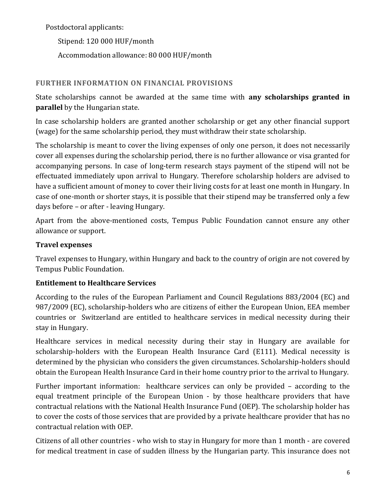Postdoctoral applicants:

Stipend: 120 000 HUF/month Accommodation allowance: 80 000 HUF/month

# **FURTHER INFORMATION ON FINANCIAL PROVISIONS**

State scholarships cannot be awarded at the same time with **any scholarships granted in parallel** by the Hungarian state.

In case scholarship holders are granted another scholarship or get any other financial support (wage) for the same scholarship period, they must withdraw their state scholarship.

The scholarship is meant to cover the living expenses of only one person, it does not necessarily cover all expenses during the scholarship period, there is no further allowance or visa granted for accompanying persons. In case of long-term research stays payment of the stipend will not be effectuated immediately upon arrival to Hungary. Therefore scholarship holders are advised to have a sufficient amount of money to cover their living costs for at least one month in Hungary. In case of one-month or shorter stays, it is possible that their stipend may be transferred only a few days before – or after - leaving Hungary.

Apart from the above-mentioned costs, Tempus Public Foundation cannot ensure any other allowance or support.

# **Travel expenses**

Travel expenses to Hungary, within Hungary and back to the country of origin are not covered by Tempus Public Foundation.

# **Entitlement to Healthcare Services**

According to the rules of the European Parliament and Council Regulations 883/2004 (EC) and 987/2009 (EC), scholarship-holders who are citizens of either the European Union, EEA member countries or Switzerland are entitled to healthcare services in medical necessity during their stay in Hungary.

Healthcare services in medical necessity during their stay in Hungary are available for scholarship-holders with the European Health Insurance Card (E111). Medical necessity is determined by the physician who considers the given circumstances. Scholarship-holders should obtain the European Health Insurance Card in their home country prior to the arrival to Hungary.

Further important information: healthcare services can only be provided – according to the equal treatment principle of the European Union - by those healthcare providers that have contractual relations with the National Health Insurance Fund (OEP). The scholarship holder has to cover the costs of those services that are provided by a private healthcare provider that has no contractual relation with OEP.

Citizens of all other countries - who wish to stay in Hungary for more than 1 month - are covered for medical treatment in case of sudden illness by the Hungarian party. This insurance does not